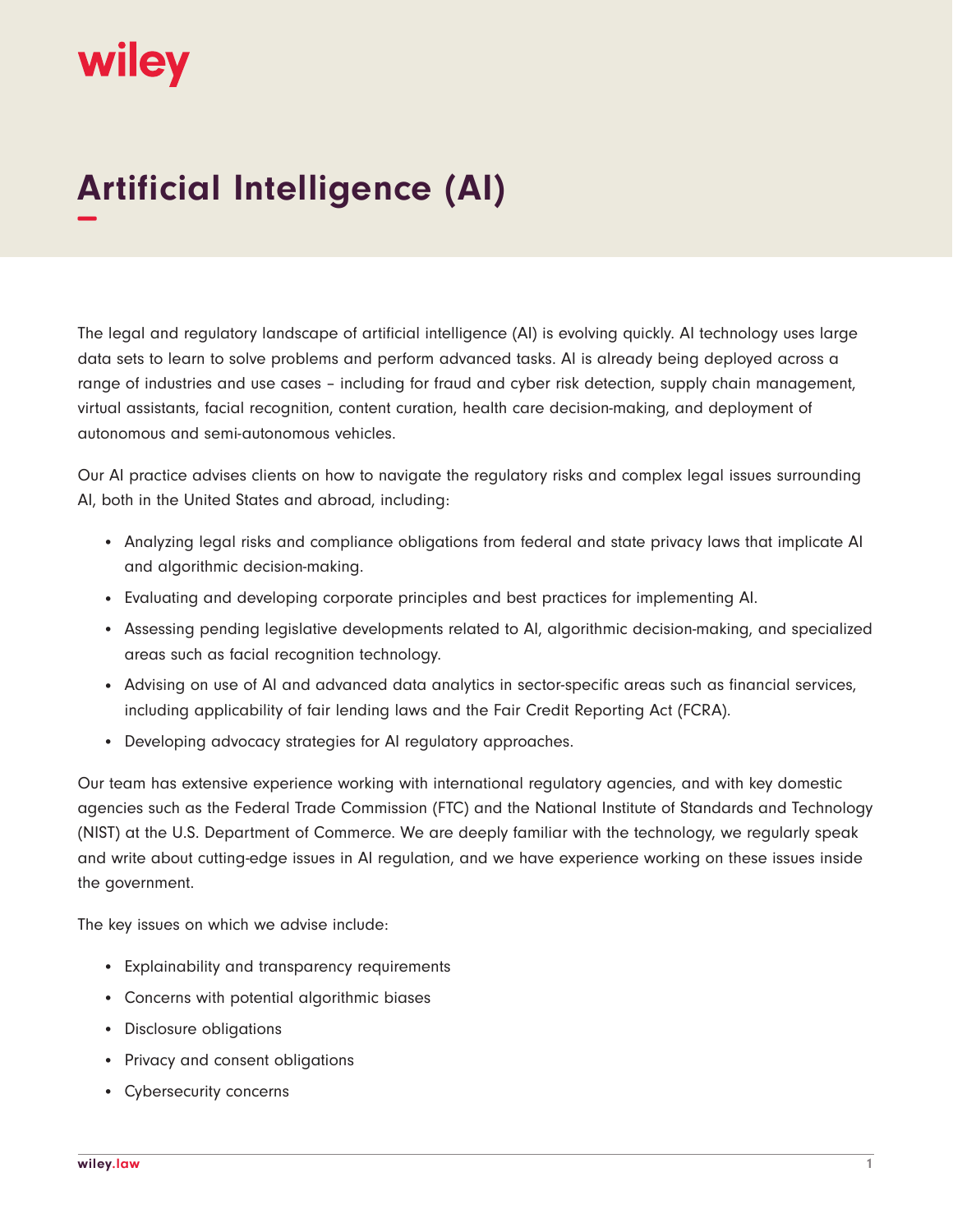## wiley

## **Artificial Intelligence (AI) −**

The legal and regulatory landscape of artificial intelligence (AI) is evolving quickly. AI technology uses large data sets to learn to solve problems and perform advanced tasks. AI is already being deployed across a range of industries and use cases – including for fraud and cyber risk detection, supply chain management, virtual assistants, facial recognition, content curation, health care decision-making, and deployment of autonomous and semi-autonomous vehicles.

Our AI practice advises clients on how to navigate the regulatory risks and complex legal issues surrounding AI, both in the United States and abroad, including:

- Analyzing legal risks and compliance obligations from federal and state privacy laws that implicate AI and algorithmic decision-making.
- Evaluating and developing corporate principles and best practices for implementing AI.
- Assessing pending legislative developments related to AI, algorithmic decision-making, and specialized areas such as facial recognition technology.
- Advising on use of AI and advanced data analytics in sector-specific areas such as financial services, including applicability of fair lending laws and the Fair Credit Reporting Act (FCRA).
- Developing advocacy strategies for AI regulatory approaches.

Our team has extensive experience working with international regulatory agencies, and with key domestic agencies such as the Federal Trade Commission (FTC) and the National Institute of Standards and Technology (NIST) at the U.S. Department of Commerce. We are deeply familiar with the technology, we regularly speak and write about cutting-edge issues in AI regulation, and we have experience working on these issues inside the government.

The key issues on which we advise include:

- Explainability and transparency requirements
- Concerns with potential algorithmic biases
- Disclosure obligations
- Privacy and consent obligations
- Cybersecurity concerns